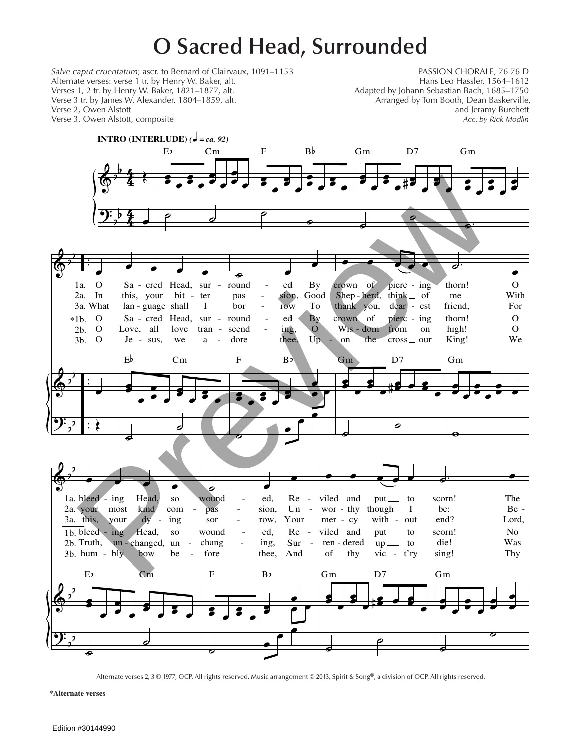## **O Sacred Head, Surrounded**

*Salve caput cruentatum*; ascr. to Bernard of Clairvaux, 1091–1153 PASSION CHORALE, 76 76 D<br>Alternate verses: verse 1 tr. by Henry W. Baker, alt. Philosophe Chassier, 1564–1612 Alternate verses: verse 1 tr. by Henry W. Baker, alt. Hans Leo Hassler, 1564–1612<br>1500–1585, Verses 1, 2 tr. by Henry W. Baker, 1821–1877, alt. Hans Leo Hassler, 1685–1750 Verses 1, 2 tr. by Henry W. Baker, 1821–1877, alt. <br>Verse 3 tr. by James W. Alexander, 1804–1859, alt. Arranged by Tom Booth, Dean Baskerville, Verse 3 tr. by James W. Alexander, 1804–1859, alt. Verse 2, Owen Alstott and Jeramy Burchett and Jeramy Burchett and Jeramy Burchett and Jeramy Burchett and Jeramy Burchett Verse 3, Owen Alstott, composite *Acc. by Rick Modlin* 



**\*Alternate verses**